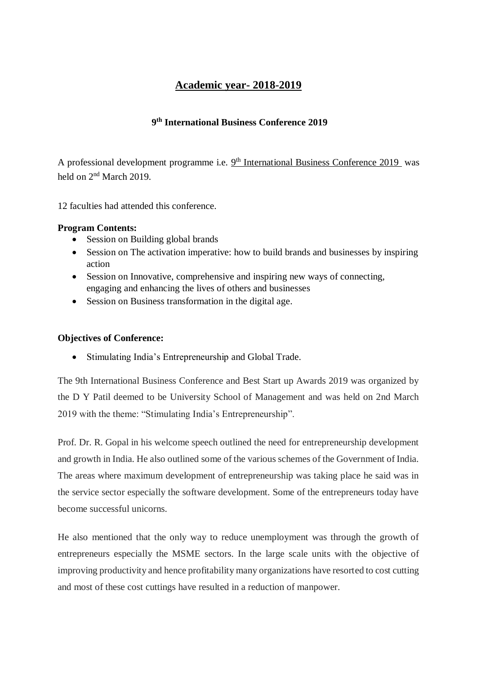## **Academic year- 2018-2019**

### **9 th International Business Conference 2019**

A professional development programme i.e.  $9<sup>th</sup>$  International Business Conference 2019 was held on 2<sup>nd</sup> March 2019.

12 faculties had attended this conference.

### **Program Contents:**

- Session on Building global brands
- Session on The activation imperative: how to build brands and businesses by inspiring action
- Session on Innovative, comprehensive and inspiring new ways of connecting, engaging and enhancing the lives of others and businesses
- Session on Business transformation in the digital age.

### **Objectives of Conference:**

• Stimulating India's Entrepreneurship and Global Trade.

The 9th International Business Conference and Best Start up Awards 2019 was organized by the D Y Patil deemed to be University School of Management and was held on 2nd March 2019 with the theme: "Stimulating India's Entrepreneurship".

Prof. Dr. R. Gopal in his welcome speech outlined the need for entrepreneurship development and growth in India. He also outlined some of the various schemes of the Government of India. The areas where maximum development of entrepreneurship was taking place he said was in the service sector especially the software development. Some of the entrepreneurs today have become successful unicorns.

He also mentioned that the only way to reduce unemployment was through the growth of entrepreneurs especially the MSME sectors. In the large scale units with the objective of improving productivity and hence profitability many organizations have resorted to cost cutting and most of these cost cuttings have resulted in a reduction of manpower.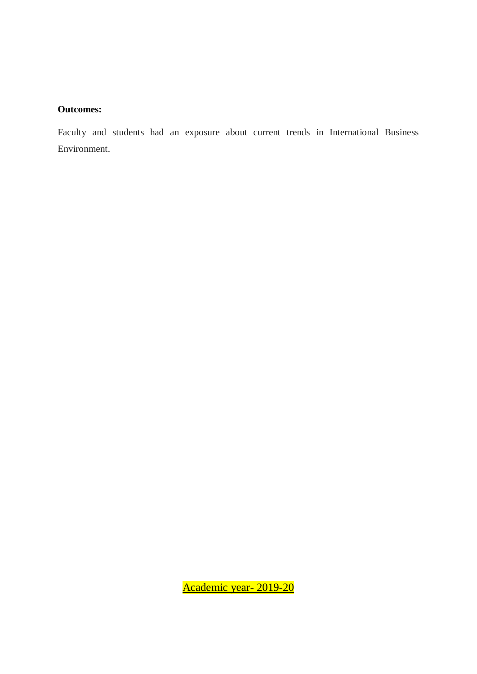### **Outcomes:**

Faculty and students had an exposure about current trends in International Business Environment.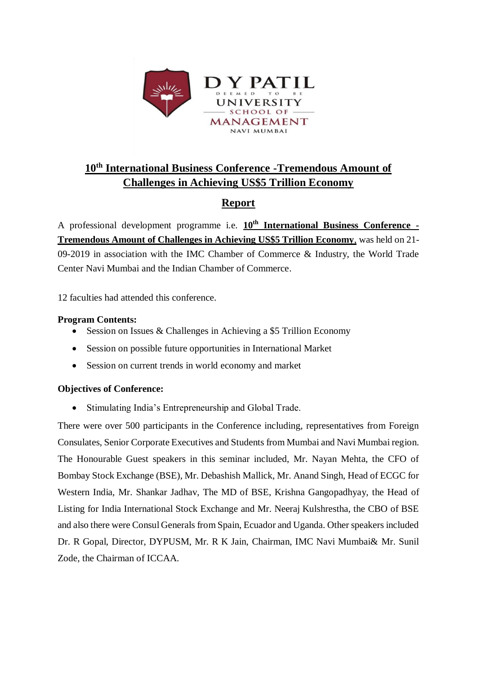

# **10th International Business Conference -Tremendous Amount of Challenges in Achieving US\$5 Trillion Economy**

## **Report**

A professional development programme i.e. **10th International Business Conference - Tremendous Amount of Challenges in Achieving US\$5 Trillion Economy**, was held on 21- 09-2019 in association with the IMC Chamber of Commerce & Industry, the World Trade Center Navi Mumbai and the Indian Chamber of Commerce.

12 faculties had attended this conference.

### **Program Contents:**

- Session on Issues & Challenges in Achieving a \$5 Trillion Economy
- Session on possible future opportunities in International Market
- Session on current trends in world economy and market

### **Objectives of Conference:**

• Stimulating India's Entrepreneurship and Global Trade.

There were over 500 participants in the Conference including, representatives from Foreign Consulates, Senior Corporate Executives and Students from Mumbai and Navi Mumbai region. The Honourable Guest speakers in this seminar included, Mr. Nayan Mehta, the CFO of Bombay Stock Exchange (BSE), Mr. Debashish Mallick, Mr. Anand Singh, Head of ECGC for Western India, Mr. Shankar Jadhav, The MD of BSE, Krishna Gangopadhyay, the Head of Listing for India International Stock Exchange and Mr. Neeraj Kulshrestha, the CBO of BSE and also there were Consul Generals from Spain, Ecuador and Uganda. Other speakers included Dr. R Gopal, Director, DYPUSM, Mr. R K Jain, Chairman, IMC Navi Mumbai& Mr. Sunil Zode, the Chairman of ICCAA.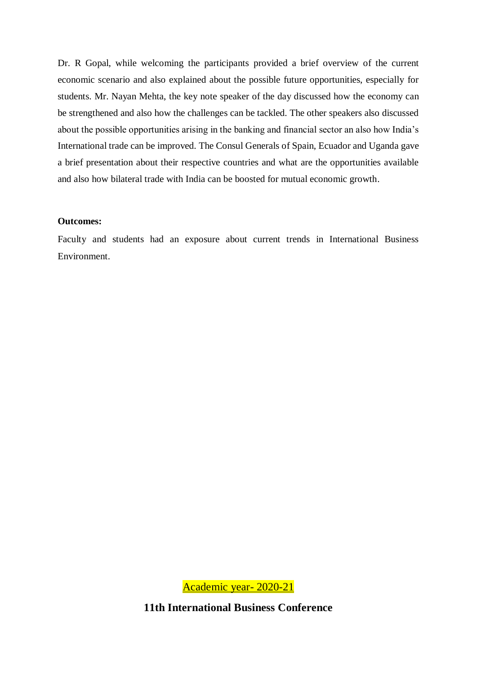Dr. R Gopal, while welcoming the participants provided a brief overview of the current economic scenario and also explained about the possible future opportunities, especially for students. Mr. Nayan Mehta, the key note speaker of the day discussed how the economy can be strengthened and also how the challenges can be tackled. The other speakers also discussed about the possible opportunities arising in the banking and financial sector an also how India's International trade can be improved. The Consul Generals of Spain, Ecuador and Uganda gave a brief presentation about their respective countries and what are the opportunities available and also how bilateral trade with India can be boosted for mutual economic growth.

#### **Outcomes:**

Faculty and students had an exposure about current trends in International Business Environment.

Academic year- 2020-21

**11th International Business Conference**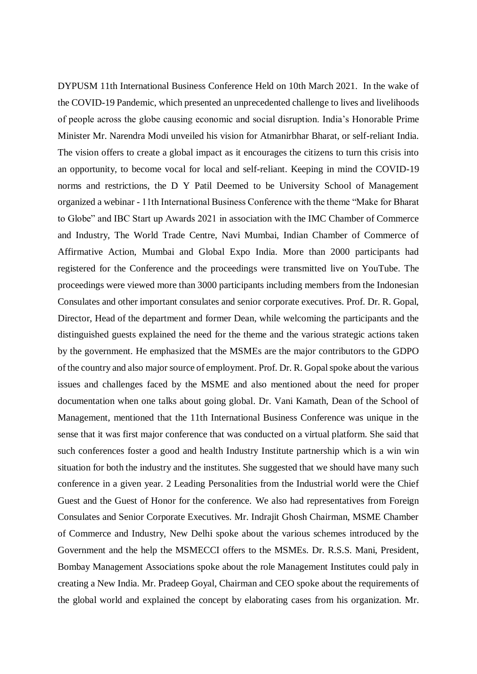DYPUSM 11th International Business Conference Held on 10th March 2021. In the wake of the COVID-19 Pandemic, which presented an unprecedented challenge to lives and livelihoods of people across the globe causing economic and social disruption. India's Honorable Prime Minister Mr. Narendra Modi unveiled his vision for Atmanirbhar Bharat, or self-reliant India. The vision offers to create a global impact as it encourages the citizens to turn this crisis into an opportunity, to become vocal for local and self-reliant. Keeping in mind the COVID-19 norms and restrictions, the D Y Patil Deemed to be University School of Management organized a webinar - 11th International Business Conference with the theme "Make for Bharat to Globe" and IBC Start up Awards 2021 in association with the IMC Chamber of Commerce and Industry, The World Trade Centre, Navi Mumbai, Indian Chamber of Commerce of Affirmative Action, Mumbai and Global Expo India. More than 2000 participants had registered for the Conference and the proceedings were transmitted live on YouTube. The proceedings were viewed more than 3000 participants including members from the Indonesian Consulates and other important consulates and senior corporate executives. Prof. Dr. R. Gopal, Director, Head of the department and former Dean, while welcoming the participants and the distinguished guests explained the need for the theme and the various strategic actions taken by the government. He emphasized that the MSMEs are the major contributors to the GDPO of the country and also major source of employment. Prof. Dr. R. Gopal spoke about the various issues and challenges faced by the MSME and also mentioned about the need for proper documentation when one talks about going global. Dr. Vani Kamath, Dean of the School of Management, mentioned that the 11th International Business Conference was unique in the sense that it was first major conference that was conducted on a virtual platform. She said that such conferences foster a good and health Industry Institute partnership which is a win win situation for both the industry and the institutes. She suggested that we should have many such conference in a given year. 2 Leading Personalities from the Industrial world were the Chief Guest and the Guest of Honor for the conference. We also had representatives from Foreign Consulates and Senior Corporate Executives. Mr. Indrajit Ghosh Chairman, MSME Chamber of Commerce and Industry, New Delhi spoke about the various schemes introduced by the Government and the help the MSMECCI offers to the MSMEs. Dr. R.S.S. Mani, President, Bombay Management Associations spoke about the role Management Institutes could paly in creating a New India. Mr. Pradeep Goyal, Chairman and CEO spoke about the requirements of the global world and explained the concept by elaborating cases from his organization. Mr.